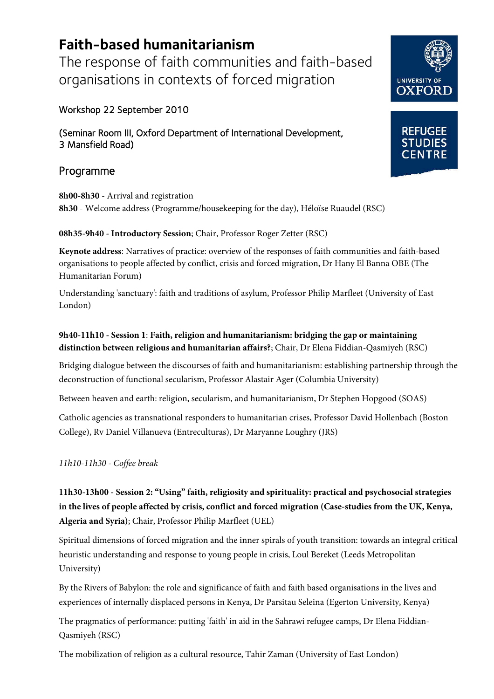# **Faith-based humanitarianism**

The response of faith communities and faith-based organisations in contexts of forced migration

## Workshop 22 September 2010

(Seminar Room III, Oxford Department of International Development, 3 Mansfield Road)

# Programme

**8h00-8h30** - Arrival and registration **8h30** - Welcome address (Programme/housekeeping for the day), Héloïse Ruaudel (RSC)

#### **08h35-9h40 - Introductory Session**; Chair, Professor Roger Zetter (RSC)

**Keynote address**: Narratives of practice: overview of the responses of faith communities and faith-based organisations to people affected by conflict, crisis and forced migration, Dr Hany El Banna OBE (The Humanitarian Forum)

Understanding 'sanctuary': faith and traditions of asylum, Professor Philip Marfleet (University of East London)

## **9h40-11h10 - Session 1**: **Faith, religion and humanitarianism: bridging the gap or maintaining distinction between religious and humanitarian affairs?**; Chair, Dr Elena Fiddian-Qasmiyeh (RSC)

Bridging dialogue between the discourses of faith and humanitarianism: establishing partnership through the deconstruction of functional secularism, Professor Alastair Ager (Columbia University)

Between heaven and earth: religion, secularism, and humanitarianism, Dr Stephen Hopgood (SOAS)

Catholic agencies as transnational responders to humanitarian crises, Professor David Hollenbach (Boston College), Rv Daniel Villanueva (Entreculturas), Dr Maryanne Loughry (JRS)

*11h10-11h30 - Coffee break*

**11h30-13h00 - Session 2: "Using" faith, religiosity and spirituality: practical and psychosocial strategies in the lives of people affected by crisis, conflict and forced migration (Case-studies from the UK, Kenya, Algeria and Syria)**; Chair, Professor Philip Marfleet (UEL)

Spiritual dimensions of forced migration and the inner spirals of youth transition: towards an integral critical heuristic understanding and response to young people in crisis, Loul Bereket (Leeds Metropolitan University)

By the Rivers of Babylon: the role and significance of faith and faith based organisations in the lives and experiences of internally displaced persons in Kenya, Dr Parsitau Seleina (Egerton University, Kenya)

The pragmatics of performance: putting 'faith' in aid in the Sahrawi refugee camps, Dr Elena Fiddian-Qasmiyeh (RSC)

The mobilization of religion as a cultural resource, Tahir Zaman (University of East London)